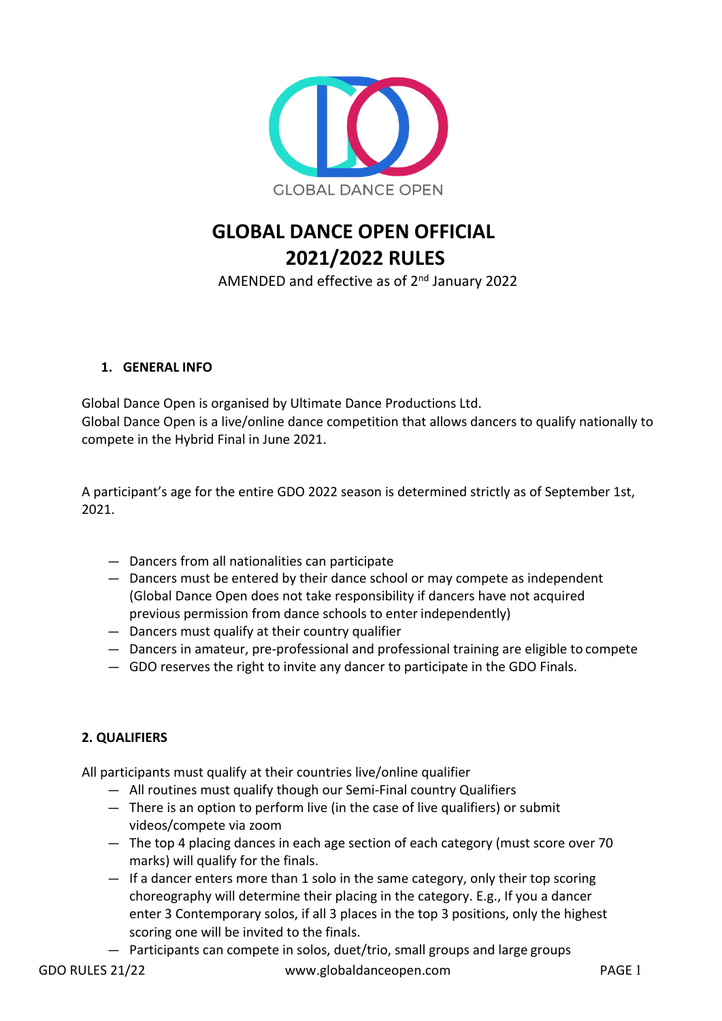

# **GLOBAL DANCE OPEN OFFICIAL 2021/2022 RULES**

AMENDED and effective as of 2<sup>nd</sup> January 2022

# **1. GENERAL INFO**

Global Dance Open is organised by Ultimate Dance Productions Ltd. Global Dance Open is a live/online dance competition that allows dancers to qualify nationally to compete in the Hybrid Final in June 2021.

A participant's age for the entire GDO 2022 season is determined strictly as of September 1st, 2021.

- Dancers from all nationalities can participate
- Dancers must be entered by their dance school or may compete as independent (Global Dance Open does not take responsibility if dancers have not acquired previous permission from dance schools to enter independently)
- Dancers must qualify at their country qualifier
- Dancers in amateur, pre-professional and professional training are eligible to compete
- GDO reserves the right to invite any dancer to participate in the GDO Finals.

# **2. QUALIFIERS**

All participants must qualify at their countries live/online qualifier

- All routines must qualify though our Semi-Final country Qualifiers
- There is an option to perform live (in the case of live qualifiers) or submit videos/compete via zoom
- The top 4 placing dances in each age section of each category (must score over 70 marks) will qualify for the finals.
- If a dancer enters more than 1 solo in the same category, only their top scoring choreography will determine their placing in the category. E.g., If you a dancer enter 3 Contemporary solos, if all 3 places in the top 3 positions, only the highest scoring one will be invited to the finals.
- Participants can compete in solos, duet/trio, small groups and large groups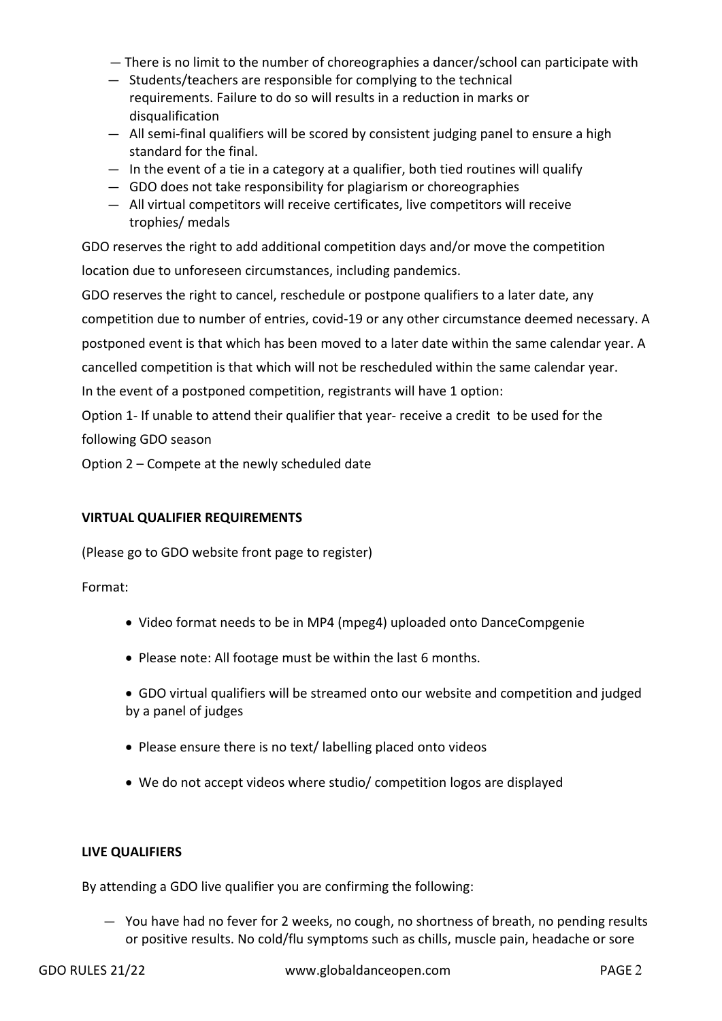- There is no limit to the number of choreographies a dancer/school can participate with
- Students/teachers are responsible for complying to the technical requirements. Failure to do so will results in a reduction in marks or disqualification
- All semi-final qualifiers will be scored by consistent judging panel to ensure a high standard for the final.
- In the event of a tie in a category at a qualifier, both tied routines will qualify
- GDO does not take responsibility for plagiarism or choreographies
- All virtual competitors will receive certificates, live competitors will receive trophies/ medals

GDO reserves the right to add additional competition days and/or move the competition location due to unforeseen circumstances, including pandemics.

GDO reserves the right to cancel, reschedule or postpone qualifiers to a later date, any competition due to number of entries, covid-19 or any other circumstance deemed necessary. A postponed event is that which has been moved to a later date within the same calendar year. A

cancelled competition is that which will not be rescheduled within the same calendar year.

In the event of a postponed competition, registrants will have 1 option:

Option 1- If unable to attend their qualifier that year- receive a credit to be used for the following GDO season

Option 2 – Compete at the newly scheduled date

#### **VIRTUAL QUALIFIER REQUIREMENTS**

(Please go to GDO website front page to register)

Format:

- Video format needs to be in MP4 (mpeg4) uploaded onto DanceCompgenie
- Please note: All footage must be within the last 6 months.
- GDO virtual qualifiers will be streamed onto our website and competition and judged by a panel of judges
- Please ensure there is no text/labelling placed onto videos
- We do not accept videos where studio/ competition logos are displayed

#### **LIVE QUALIFIERS**

By attending a GDO live qualifier you are confirming the following:

— You have had no fever for 2 weeks, no cough, no shortness of breath, no pending results or positive results. No cold/flu symptoms such as chills, muscle pain, headache or sore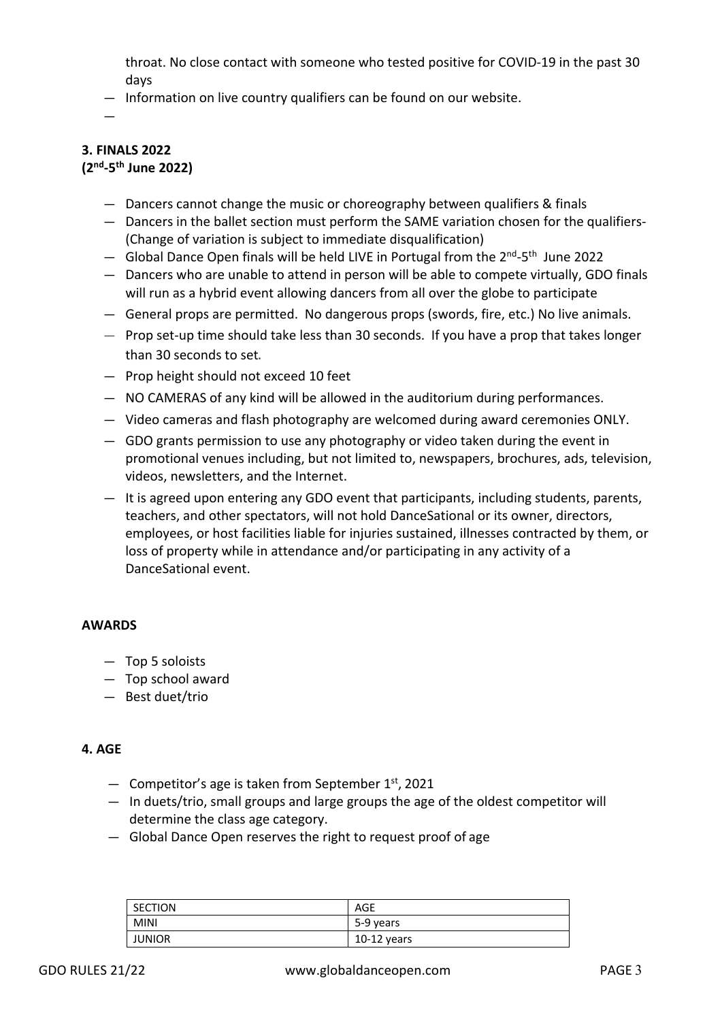throat. No close contact with someone who tested positive for COVID-19 in the past 30 days

— Information on live country qualifiers can be found on our website.

—

#### **3. FINALS 2022 (2nd-5th June 2022)**

- Dancers cannot change the music or choreography between qualifiers & finals
- Dancers in the ballet section must perform the SAME variation chosen for the qualifiers- (Change of variation is subject to immediate disqualification)
- $-$  Global Dance Open finals will be held LIVE in Portugal from the  $2^{nd}$ -5<sup>th</sup> June 2022
- Dancers who are unable to attend in person will be able to compete virtually, GDO finals will run as a hybrid event allowing dancers from all over the globe to participate
- General props are permitted. No dangerous props (swords, fire, etc.) No live animals.
- Prop set-up time should take less than 30 seconds. If you have a prop that takes longer than 30 seconds to set.
- Prop height should not exceed 10 feet
- NO CAMERAS of any kind will be allowed in the auditorium during performances.
- Video cameras and flash photography are welcomed during award ceremonies ONLY.
- GDO grants permission to use any photography or video taken during the event in promotional venues including, but not limited to, newspapers, brochures, ads, television, videos, newsletters, and the Internet.
- It is agreed upon entering any GDO event that participants, including students, parents, teachers, and other spectators, will not hold DanceSational or its owner, directors, employees, or host facilities liable for injuries sustained, illnesses contracted by them, or loss of property while in attendance and/or participating in any activity of a DanceSational event.

#### **AWARDS**

- Top 5 soloists
- Top school award
- Best duet/trio

#### **4. AGE**

- $-$  Competitor's age is taken from September 1st, 2021
- In duets/trio, small groups and large groups the age of the oldest competitor will determine the class age category.
- Global Dance Open reserves the right to request proof of age

| <b>SECTION</b> | AGE         |
|----------------|-------------|
| <b>MINI</b>    | 5-9 years   |
| <b>JUNIOR</b>  | 10-12 years |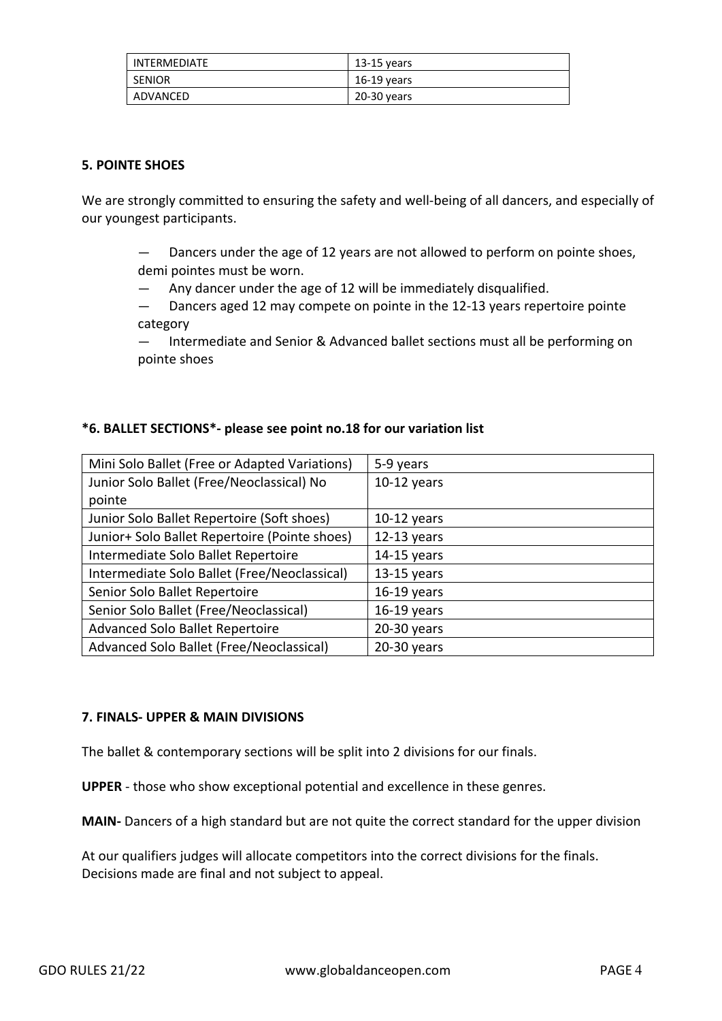| INTERMEDIATE  | 13-15 years |
|---------------|-------------|
| <b>SENIOR</b> | 16-19 vears |
| ADVANCED      | 20-30 years |

#### **5. POINTE SHOES**

We are strongly committed to ensuring the safety and well-being of all dancers, and especially of our youngest participants.

- Dancers under the age of 12 years are not allowed to perform on pointe shoes, demi pointes must be worn.
- Any dancer under the age of 12 will be immediately disqualified.
- Dancers aged 12 may compete on pointe in the 12-13 years repertoire pointe category
- Intermediate and Senior & Advanced ballet sections must all be performing on pointe shoes

## **\*6. BALLET SECTIONS\*- please see point no.18 for our variation list**

| Mini Solo Ballet (Free or Adapted Variations) | 5-9 years     |
|-----------------------------------------------|---------------|
| Junior Solo Ballet (Free/Neoclassical) No     | 10-12 years   |
| pointe                                        |               |
| Junior Solo Ballet Repertoire (Soft shoes)    | $10-12$ years |
| Junior+ Solo Ballet Repertoire (Pointe shoes) | $12-13$ years |
| Intermediate Solo Ballet Repertoire           | $14-15$ years |
| Intermediate Solo Ballet (Free/Neoclassical)  | 13-15 years   |
| Senior Solo Ballet Repertoire                 | $16-19$ years |
| Senior Solo Ballet (Free/Neoclassical)        | $16-19$ years |
| Advanced Solo Ballet Repertoire               | 20-30 years   |
| Advanced Solo Ballet (Free/Neoclassical)      | 20-30 years   |

#### **7. FINALS- UPPER & MAIN DIVISIONS**

The ballet & contemporary sections will be split into 2 divisions for our finals.

**UPPER** - those who show exceptional potential and excellence in these genres.

**MAIN-** Dancers of a high standard but are not quite the correct standard for the upper division

At our qualifiers judges will allocate competitors into the correct divisions for the finals. Decisions made are final and not subject to appeal.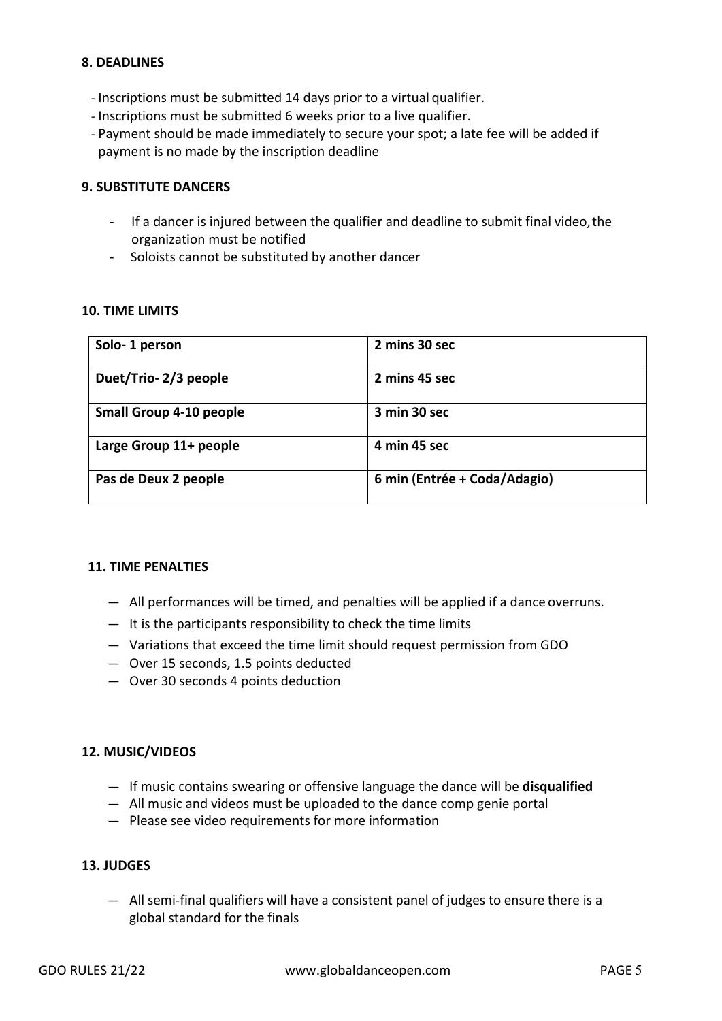## **8. DEADLINES**

- Inscriptions must be submitted 14 days prior to a virtual qualifier.
- Inscriptions must be submitted 6 weeks prior to a live qualifier.
- Payment should be made immediately to secure your spot; a late fee will be added if payment is no made by the inscription deadline

#### **9. SUBSTITUTE DANCERS**

- If a dancer is injured between the qualifier and deadline to submit final video,the organization must be notified
- Soloists cannot be substituted by another dancer

#### **10. TIME LIMITS**

| Solo-1 person                  | 2 mins 30 sec                |
|--------------------------------|------------------------------|
| Duet/Trio-2/3 people           | 2 mins 45 sec                |
| <b>Small Group 4-10 people</b> | 3 min 30 sec                 |
| Large Group 11+ people         | 4 min 45 sec                 |
| Pas de Deux 2 people           | 6 min (Entrée + Coda/Adagio) |

#### **11. TIME PENALTIES**

- All performances will be timed, and penalties will be applied if a dance overruns.
- It is the participants responsibility to check the time limits
- Variations that exceed the time limit should request permission from GDO
- Over 15 seconds, 1.5 points deducted
- Over 30 seconds 4 points deduction

## **12. MUSIC/VIDEOS**

- If music contains swearing or offensive language the dance will be **disqualified**
- All music and videos must be uploaded to the dance comp genie portal
- Please see video requirements for more information

#### **13. JUDGES**

— All semi-final qualifiers will have a consistent panel of judges to ensure there is a global standard for the finals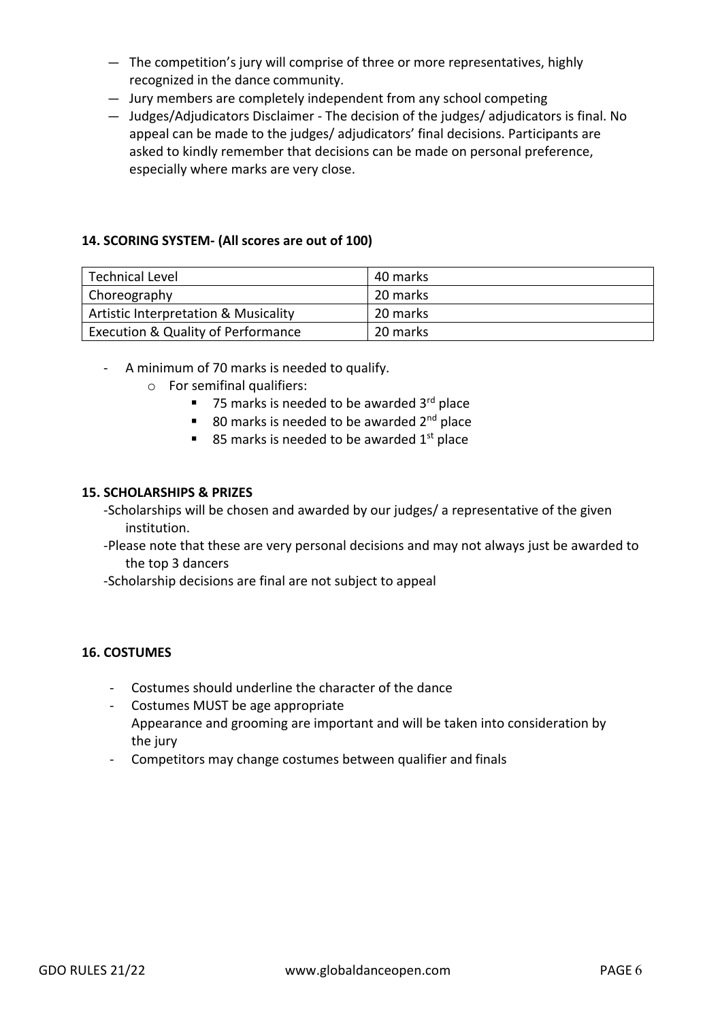- The competition's jury will comprise of three or more representatives, highly recognized in the dance community.
- Jury members are completely independent from any school competing
- Judges/Adjudicators Disclaimer The decision of the judges/ adjudicators is final. No appeal can be made to the judges/ adjudicators' final decisions. Participants are asked to kindly remember that decisions can be made on personal preference, especially where marks are very close.

#### **14. SCORING SYSTEM- (All scores are out of 100)**

| <b>Technical Level</b>                        | 40 marks |
|-----------------------------------------------|----------|
| Choreography                                  | 20 marks |
| Artistic Interpretation & Musicality          | 20 marks |
| <b>Execution &amp; Quality of Performance</b> | 20 marks |

- A minimum of 70 marks is needed to qualify.
	- o For semifinal qualifiers:
		- 75 marks is needed to be awarded  $3<sup>rd</sup>$  place
		- 80 marks is needed to be awarded  $2<sup>nd</sup>$  place
		- 85 marks is needed to be awarded  $1^{st}$  place

#### **15. SCHOLARSHIPS & PRIZES**

- -Scholarships will be chosen and awarded by our judges/ a representative of the given institution.
- -Please note that these are very personal decisions and may not always just be awarded to the top 3 dancers
- -Scholarship decisions are final are not subject to appeal

#### **16. COSTUMES**

- Costumes should underline the character of the dance
- Costumes MUST be age appropriate Appearance and grooming are important and will be taken into consideration by the jury
- Competitors may change costumes between qualifier and finals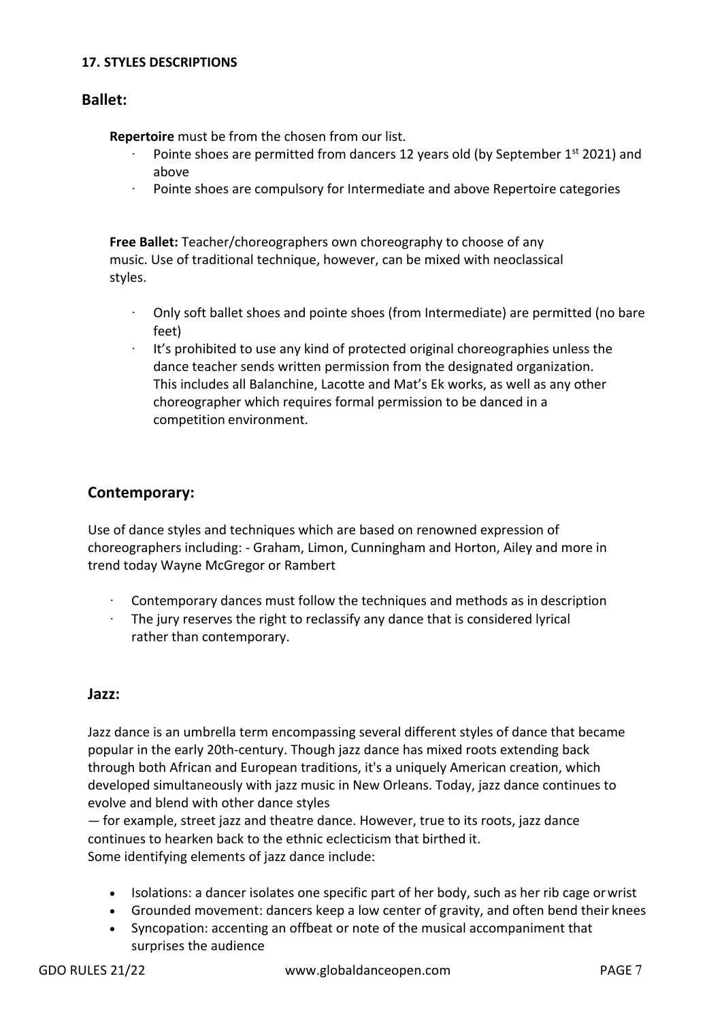#### **17. STYLES DESCRIPTIONS**

# **Ballet:**

**Repertoire** must be from the chosen from our list.

- Pointe shoes are permitted from dancers 12 years old (by September 1st 2021) and above
- · Pointe shoes are compulsory for Intermediate and above Repertoire categories

**Free Ballet:** Teacher/choreographers own choreography to choose of any music. Use of traditional technique, however, can be mixed with neoclassical styles.

- · Only soft ballet shoes and pointe shoes (from Intermediate) are permitted (no bare feet)
- · It's prohibited to use any kind of protected original choreographies unless the dance teacher sends written permission from the designated organization. This includes all Balanchine, Lacotte and Mat's Ek works, as well as any other choreographer which requires formal permission to be danced in a competition environment.

# **Contemporary:**

Use of dance styles and techniques which are based on renowned expression of choreographers including: - Graham, Limon, Cunningham and Horton, Ailey and more in trend today Wayne McGregor or Rambert

- · Contemporary dances must follow the techniques and methods as in description
- · The jury reserves the right to reclassify any dance that is considered lyrical rather than contemporary.

## **Jazz:**

Jazz dance is an umbrella term encompassing several different styles of dance that became popular in the early 20th-century. Though jazz dance has mixed roots extending back through both African and European traditions, it's a uniquely American creation, which developed simultaneously with jazz music in New Orleans. Today, jazz dance continues to evolve and blend with other dance styles

— for example, street jazz and theatre dance. However, true to its roots, jazz dance continues to hearken back to the ethnic eclecticism that birthed it. Some identifying elements of jazz dance include:

- Isolations: a dancer isolates one specific part of her body, such as her rib cage orwrist
- Grounded movement: dancers keep a low center of gravity, and often bend their knees
- Syncopation: accenting an offbeat or note of the musical accompaniment that surprises the audience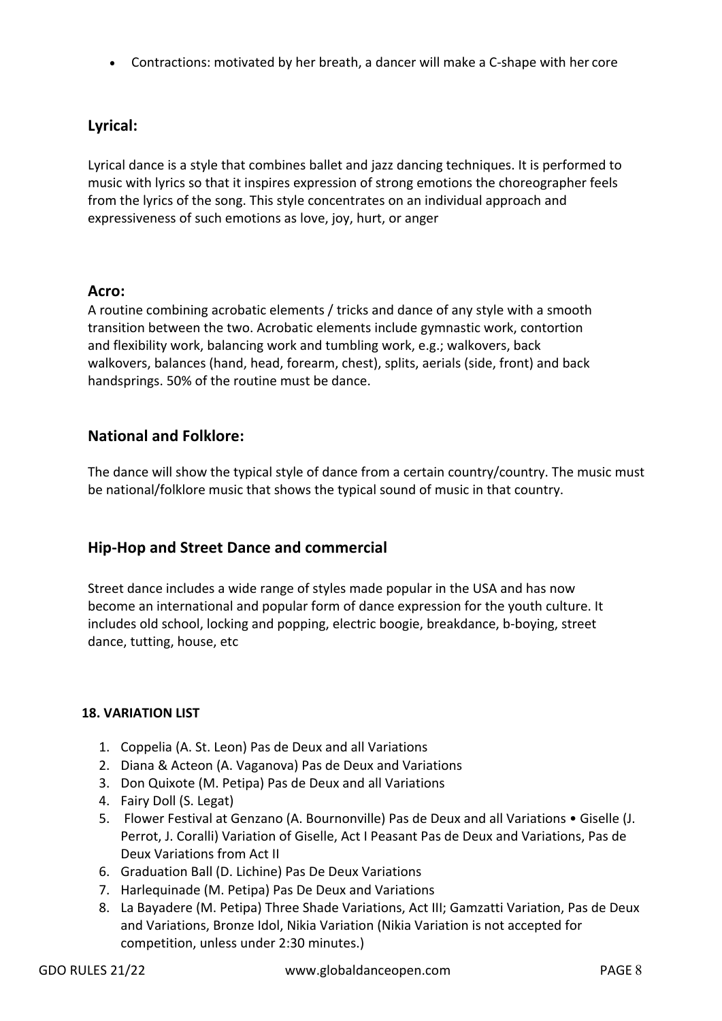• Contractions: motivated by her breath, a dancer will make a C-shape with her core

# **Lyrical:**

Lyrical dance is a style that combines ballet and jazz dancing techniques. It is performed to music with lyrics so that it inspires expression of strong emotions the choreographer feels from the lyrics of the song. This style concentrates on an individual approach and expressiveness of such emotions as love, joy, hurt, or anger

# **Acro:**

A routine combining acrobatic elements / tricks and dance of any style with a smooth transition between the two. Acrobatic elements include gymnastic work, contortion and flexibility work, balancing work and tumbling work, e.g.; walkovers, back walkovers, balances (hand, head, forearm, chest), splits, aerials (side, front) and back handsprings. 50% of the routine must be dance.

# **National and Folklore:**

The dance will show the typical style of dance from a certain country/country. The music must be national/folklore music that shows the typical sound of music in that country.

# **Hip-Hop and Street Dance and commercial**

Street dance includes a wide range of styles made popular in the USA and has now become an international and popular form of dance expression for the youth culture. It includes old school, locking and popping, electric boogie, breakdance, b-boying, street dance, tutting, house, etc

## **18. VARIATION LIST**

- 1. Coppelia (A. St. Leon) Pas de Deux and all Variations
- 2. Diana & Acteon (A. Vaganova) Pas de Deux and Variations
- 3. Don Quixote (M. Petipa) Pas de Deux and all Variations
- 4. Fairy Doll (S. Legat)
- 5. Flower Festival at Genzano (A. Bournonville) Pas de Deux and all Variations Giselle (J. Perrot, J. Coralli) Variation of Giselle, Act I Peasant Pas de Deux and Variations, Pas de Deux Variations from Act II
- 6. Graduation Ball (D. Lichine) Pas De Deux Variations
- 7. Harlequinade (M. Petipa) Pas De Deux and Variations
- 8. La Bayadere (M. Petipa) Three Shade Variations, Act III; Gamzatti Variation, Pas de Deux and Variations, Bronze Idol, Nikia Variation (Nikia Variation is not accepted for competition, unless under 2:30 minutes.)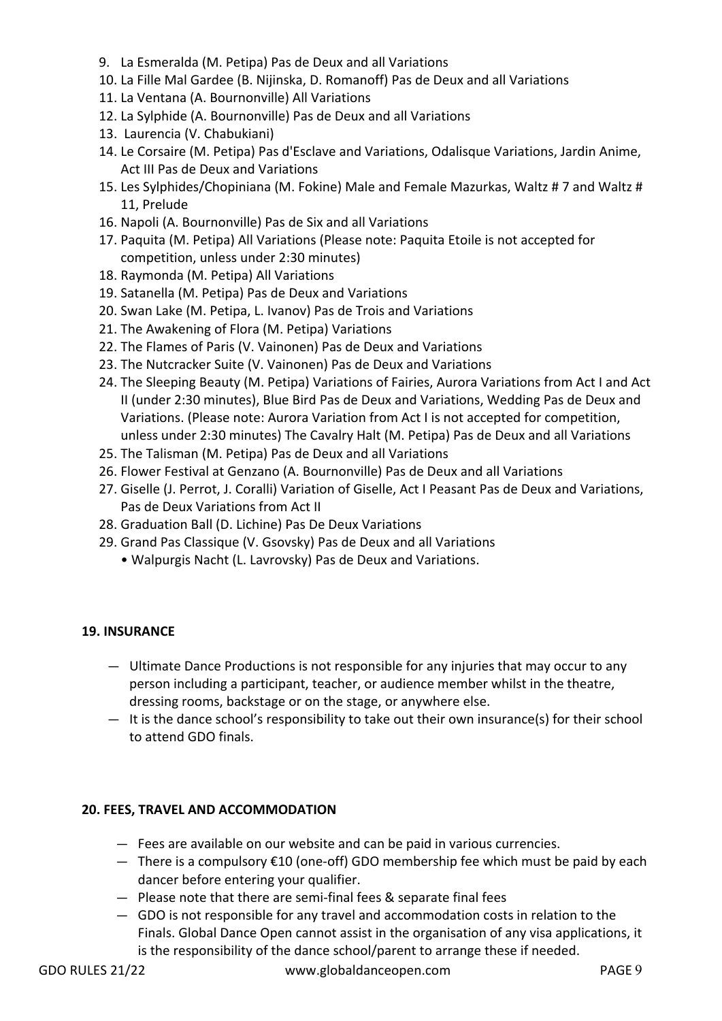- 9. La Esmeralda (M. Petipa) Pas de Deux and all Variations
- 10. La Fille Mal Gardee (B. Nijinska, D. Romanoff) Pas de Deux and all Variations
- 11. La Ventana (A. Bournonville) All Variations
- 12. La Sylphide (A. Bournonville) Pas de Deux and all Variations
- 13. Laurencia (V. Chabukiani)
- 14. Le Corsaire (M. Petipa) Pas d'Esclave and Variations, Odalisque Variations, Jardin Anime, Act III Pas de Deux and Variations
- 15. Les Sylphides/Chopiniana (M. Fokine) Male and Female Mazurkas, Waltz # 7 and Waltz # 11, Prelude
- 16. Napoli (A. Bournonville) Pas de Six and all Variations
- 17. Paquita (M. Petipa) All Variations (Please note: Paquita Etoile is not accepted for competition, unless under 2:30 minutes)
- 18. Raymonda (M. Petipa) All Variations
- 19. Satanella (M. Petipa) Pas de Deux and Variations
- 20. Swan Lake (M. Petipa, L. Ivanov) Pas de Trois and Variations
- 21. The Awakening of Flora (M. Petipa) Variations
- 22. The Flames of Paris (V. Vainonen) Pas de Deux and Variations
- 23. The Nutcracker Suite (V. Vainonen) Pas de Deux and Variations
- 24. The Sleeping Beauty (M. Petipa) Variations of Fairies, Aurora Variations from Act I and Act II (under 2:30 minutes), Blue Bird Pas de Deux and Variations, Wedding Pas de Deux and Variations. (Please note: Aurora Variation from Act I is not accepted for competition, unless under 2:30 minutes) The Cavalry Halt (M. Petipa) Pas de Deux and all Variations
- 25. The Talisman (M. Petipa) Pas de Deux and all Variations
- 26. Flower Festival at Genzano (A. Bournonville) Pas de Deux and all Variations
- 27. Giselle (J. Perrot, J. Coralli) Variation of Giselle, Act I Peasant Pas de Deux and Variations, Pas de Deux Variations from Act II
- 28. Graduation Ball (D. Lichine) Pas De Deux Variations
- 29. Grand Pas Classique (V. Gsovsky) Pas de Deux and all Variations
	- Walpurgis Nacht (L. Lavrovsky) Pas de Deux and Variations.

## **19. INSURANCE**

- Ultimate Dance Productions is not responsible for any injuries that may occur to any person including a participant, teacher, or audience member whilst in the theatre, dressing rooms, backstage or on the stage, or anywhere else.
- $-$  It is the dance school's responsibility to take out their own insurance(s) for their school to attend GDO finals.

## **20. FEES, TRAVEL AND ACCOMMODATION**

- Fees are available on our website and can be paid in various currencies.
- There is a compulsory €10 (one-off) GDO membership fee which must be paid by each dancer before entering your qualifier.
- Please note that there are semi-final fees & separate final fees
- GDO is not responsible for any travel and accommodation costs in relation to the Finals. Global Dance Open cannot assist in the organisation of any visa applications, it is the responsibility of the dance school/parent to arrange these if needed.